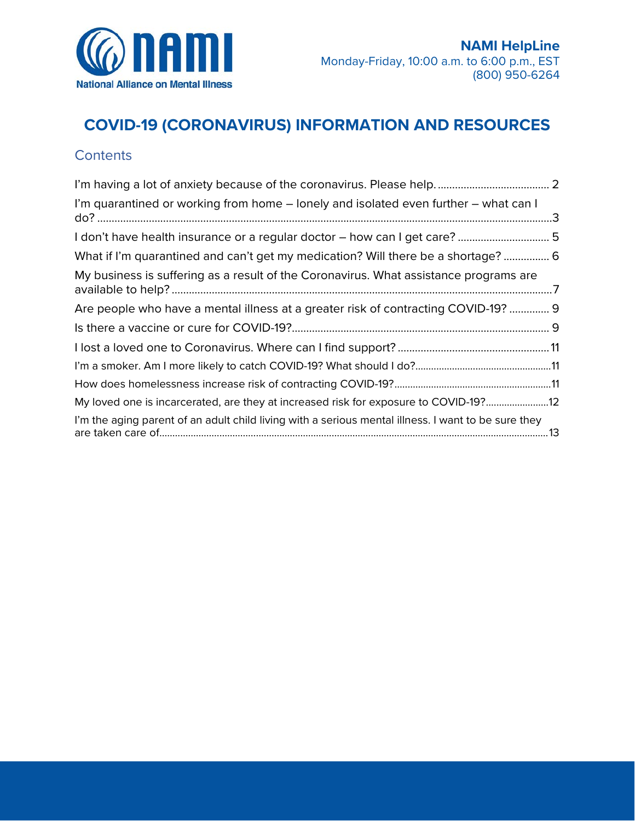

# **COVID-19 (CORONAVIRUS) INFORMATION AND RESOURCES**

# **Contents**

| I'm quarantined or working from home – lonely and isolated even further – what can I                |
|-----------------------------------------------------------------------------------------------------|
| I don't have health insurance or a regular doctor – how can I get care? 5                           |
| What if I'm quarantined and can't get my medication? Will there be a shortage?  6                   |
| My business is suffering as a result of the Coronavirus. What assistance programs are               |
| Are people who have a mental illness at a greater risk of contracting COVID-19?  9                  |
|                                                                                                     |
|                                                                                                     |
|                                                                                                     |
|                                                                                                     |
| My loved one is incarcerated, are they at increased risk for exposure to COVID-19?12                |
| I'm the aging parent of an adult child living with a serious mental illness. I want to be sure they |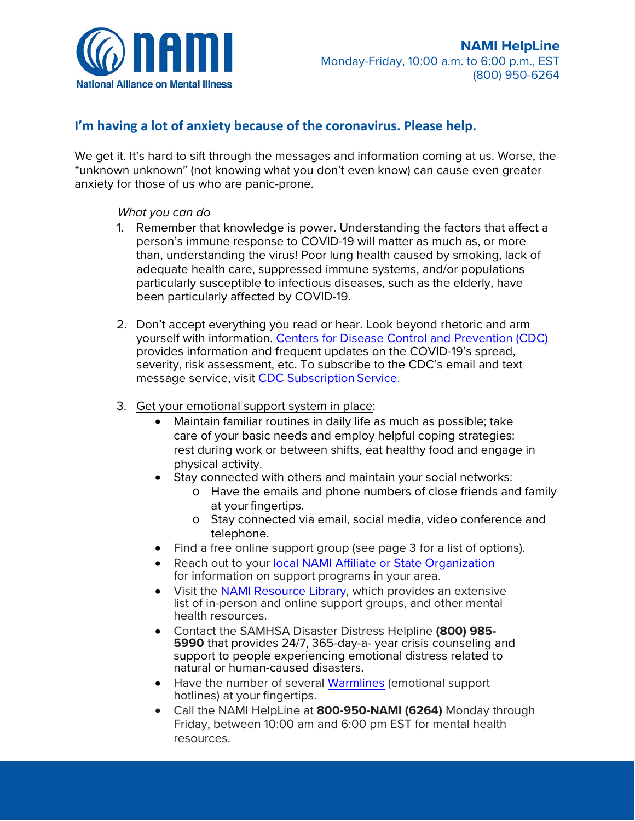

### <span id="page-1-0"></span>**I'm having a lot of anxiety because of the coronavirus. Please help.**

We get it. It's hard to sift through the messages and information coming at us. Worse, the "unknown unknown" (not knowing what you don't even know) can cause even greater anxiety for those of us who are panic-prone.

#### *What you can do*

- person's immune response to COVID-19 will matter as much as, or more 1. Remember that knowledge is power. Understanding the factors that affect a than, understanding the virus! Poor lung health caused by smoking, lack of adequate health care, suppressed immune systems, and/or populations particularly susceptible to infectious diseases, such as the elderly, have been particularly affected by COVID-19.
- 2. Don't accept everything you read or hear. Look beyond rhetoric and arm yourself with information. [Centers for Disease Control and Prevention \(CDC\)](https://www.cdc.gov/coronavirus/2019-nCoV/summary.html) provides information and frequent updates on the COVID-19's spread, severity, risk assessment, etc. To subscribe to the CDC's email and text message service, visi[t CDC Subscription Service.](https://www.cdc.gov/other/emailupdates/index.html)
- 3. Get your emotional support system in place:
	- physical activity. • Maintain familiar routines in daily life as much as possible; take care of your basic needs and employ helpful coping strategies: rest during work or between shifts, eat healthy food and engage in
	- • Stay connected with others and maintain your social networks:
		- at your fingertips. o Have the emails and phone numbers of close friends and family
		- o Stay connected via email, social media, video conference and telephone.
	- Find a free online support group (see page 3 for a list of options).
	- Reach out to your [local NAMI Affiliate or State Organization](https://www.nami.org/find-your-local-nami) for information on support programs in your area.
	- Visit the [NAMI Resource Library, w](https://www.nami.org/Find-Support/NAMI-HelpLine/NAMI-Resource-Library)hich provides an extensive list of in-person and online support groups, and other mental health resources.
	- natural or human-caused disasters. • Contact the SAMHSA Disaster Distress Helpline **(800) 985- <sup>5990</sup>**that provides 24/7, 365-day-a- year crisis counseling and support to people experiencing emotional distress related to
	- Have the number of several [Warmlines \(](https://www.nami.org/NAMI/media/NAMI-Media/BlogImageArchive/2020/NAMI-National-HelpLine-WarmLine-Directory-3-11-20.pdf)emotional support hotlines) at your fingertips.
	- Call the NAMI HelpLine at **800-950-NAMI (6264)** Monday through Friday, between 10:00 am and 6:00 pm EST for mental health resources.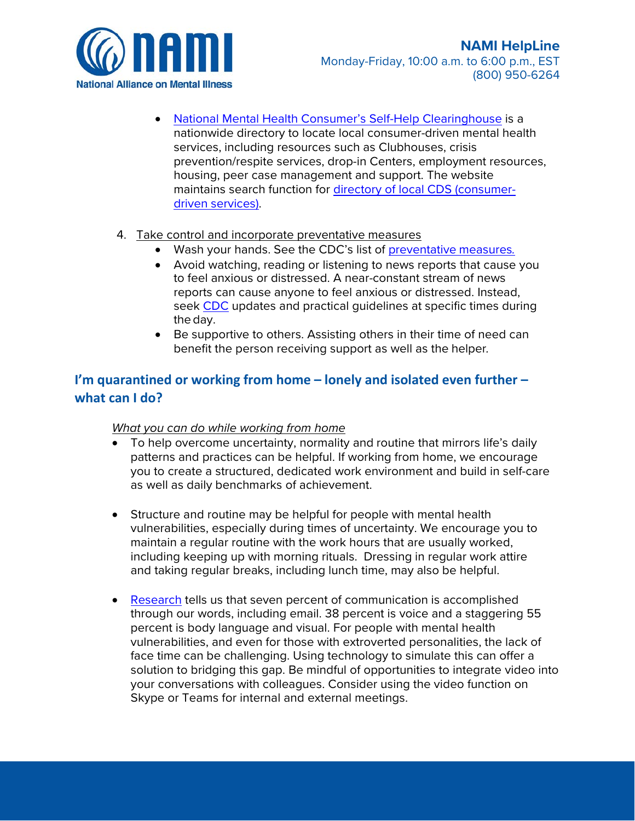

• [National Mental Health Consumer's Self-Help Clearinghouse i](http://www.mhselfhelp.org/)s a nationwide directory to locate local consumer-driven mental health services, including resources such as Clubhouses, crisis prevention/respite services, drop-in Centers, employment resources, housing, peer case management and support. The website maintains search function fo[r directory of local CDS \(consumer](http://www.cdsdirectory.org/)[driven services\).](http://www.cdsdirectory.org/) 

#### 4. Take control and incorporate preventative measures

- Wash your hands. See the CDC's list of [preventative measures](https://www.cdc.gov/coronavirus/2019-ncov/about/prevention-treatment.html)*.*
- seek [CDC u](https://www.cdc.gov/coronavirus/2019-nCoV/summary.html)pdates and practical guidelines at specific times during • Avoid watching, reading or listening to news reports that cause you to feel anxious or distressed. A near-constant stream of news reports can cause anyone to feel anxious or distressed. Instead, the day.
- Be supportive to others. Assisting others in their time of need can benefit the person receiving support as well as the helper*.*

### <span id="page-2-0"></span>**I'm quarantined or working from home – lonely and isolated even further – what can I do?**

#### *What you can do while working from home*

- To help overcome uncertainty, normality and routine that mirrors life's daily patterns and practices can be helpful. If working from home, we encourage you to create a structured, dedicated work environment and build in self-care as well as daily benchmarks of achievement.
- Structure and routine may be helpful for people with mental health vulnerabilities, especially during times of uncertainty. We encourage you to maintain a regular routine with the work hours that are usually worked, including keeping up with morning rituals. Dressing in regular work attire and taking regular breaks, including lunch time, may also be helpful.
- through our words, including email. 38 percent is voice and a staggering 55 solution to bridging this gap. Be mindful of opportunities to integrate video into • [Research](https://www.rightattitudes.com/2008/10/04/7-38-55-rule-personal-communication/#:%7E:text=In%20communication%2C%20a%20speaker) tells us that seven percent of communication is accomplished percent is body language and visual. For people with mental health vulnerabilities, and even for those with extroverted personalities, the lack of face time can be challenging. Using technology to simulate this can offer a your conversations with colleagues. Consider using the video function on Skype or Teams for internal and external meetings.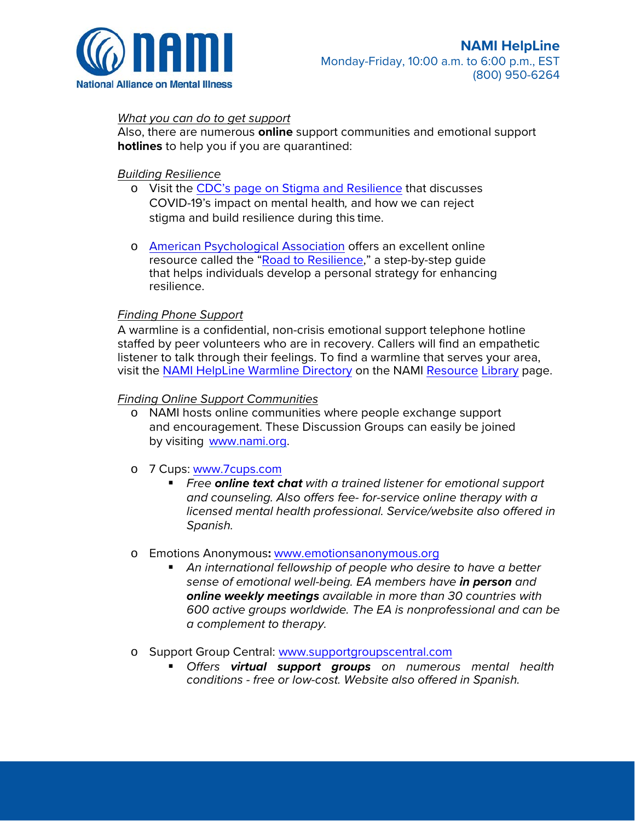

#### *What you can do to get support*

Also, there are numerous **online** support communities and emotional support **hotlines** to help you if you are quarantined:

#### *Building Resilience*

- stigma and build resilience during this time. o Visit the [CDC's page on Stigma and Resilience t](https://www.cdc.gov/coronavirus/2019-ncov/about/related-stigma.html)hat discusses COVID-19's impact on mental health*,* and how we can reject
- o [American Psychological Association o](http://www.apa.org/)ffers an excellent online resource called the ["Road to Resilience,](https://www.apa.org/helpcenter/road-resilience)" a step-by-step guide that helps individuals develop a personal strategy for enhancing resilience.

#### *Finding Phone Support*

A warmline is a confidential, non-crisis emotional support telephone hotline staffed by peer volunteers who are in recovery. Callers will find an empathetic listener to talk through their feelings. To find a [warmline that serves your area,](https://www.nami.org/Find-Support/NAMI-HelpLine/NAMI-Resource-Library)  [visit the NAMI HelpLine Warmline Directory on the NAMI Resource Library page.](https://www.nami.org/Find-Support/NAMI-HelpLine/NAMI-Resource-Library) 

#### *Finding Online Support Communities*

o NAMI hosts online communities where people exchange support and encouragement. These Discussion Groups can easily be joined by visiting [www.nami.org.](http://www.nami.org/)

#### o 7 Cups: [www.7cups.com](http://www.7cups.com/)

 *Free online text chat with a trained listener for emotional support and counseling. Also offers fee- for-service online therapy with a licensed mental health professional. Service/website also offered in Spanish.* 

#### o Emotions Anonymous**:** [www.emotionsanonymous.org](http://www.emotionsanonymous.org/)

- *600 active groups worldwide. The EA is nonprofessional and can be An international fellowship of people who desire to have a better sense of emotional well-being. EA members have in person and online weekly meetings available in more than 30 countries with a complement to therapy.*
- o Support Group Central: [www.supportgroupscentral.com](http://www.supportgroupscentral.com/) 
	- *Offers virtual support groups on numerous mental health conditions - free or low-cost. Website also offered in Spanish.*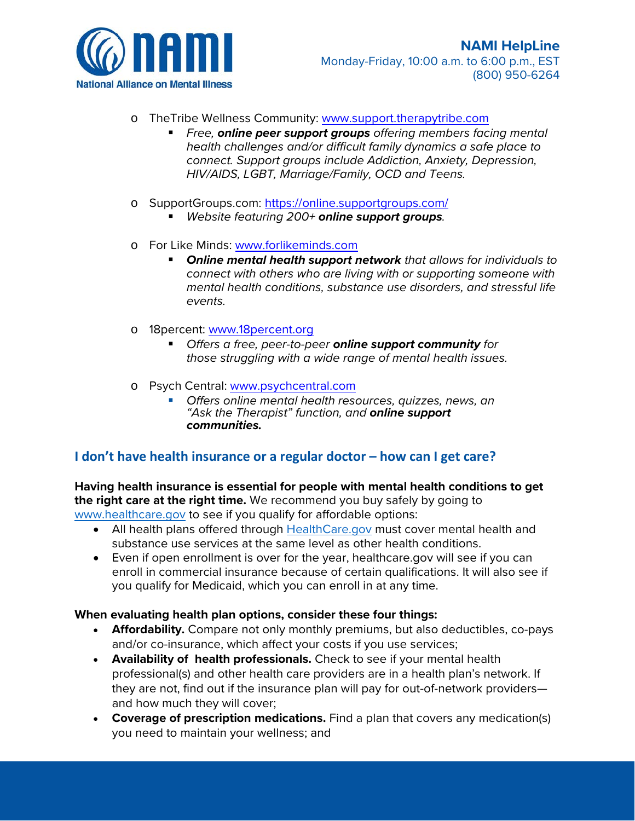

- o TheTribe Wellness Community: [www.support.therapytribe.com](http://www.support.therapytribe.com/) 
	- *Free, online peer support groups offering members facing mental health challenges and/or difficult family dynamics a safe place to connect. Support groups include Addiction, Anxiety, Depression, HIV/AIDS, LGBT, Marriage/Family, OCD and Teens.*
- o [SupportGroups.com](https://SupportGroups.com):<https://online.supportgroups.com/>
	- *Website featuring 200+ online support groups.*
- o For Like Minds: [www.forlikeminds.com](http://www.forlikeminds.com/) 
	- *Online mental health support network that allows for individuals to connect with others who are living with or supporting someone with mental health conditions, substance use disorders, and stressful life events.*
- o 18percent: [www.18percent.org](http://www.18percent.org/) 
	- *Offers a free, peer-to-peer online support community for those struggling with a wide range of mental health issues.*
- o Psych Central: www.psychcentral.com
	- *Offers online mental health resources, quizzes, news, an "Ask the Therapist" function, and online support communities.*

#### <span id="page-4-0"></span>**I don't have health insurance or a regular doctor – how can I get care?**

 **the right care at the right time.** We recommend you buy safely by going to [www.healthcare.gov](http://www.healthcare.gov/) to see if you qualify for affordable options: **Having health insurance is essential for people with mental health conditions to get** 

- All health plans offered through [HealthCare.gov](http://www.healthcare.gov/) must cover mental health and substance use services at the same level as other health conditions.
- enroll in commercial insurance because of certain qualifications. It will also see if • Even if open enrollment is over for the year, [healthcare.gov](https://healthcare.gov) will see if you can you qualify for Medicaid, which you can enroll in at any time.

#### **When evaluating health plan options, consider these four things:**

- **Affordability.** Compare not only monthly premiums, but also deductibles, co-pays and/or co-insurance, which affect your costs if you use services;
- **Availability of health professionals.** Check to see if your mental health professional(s) and other health care providers are in a health plan's network. If they are not, find out if the insurance plan will pay for out-of-network providers and how much they will cover;
- you need to maintain your wellness; and • **Coverage of prescription medications.** Find a plan that covers any medication(s)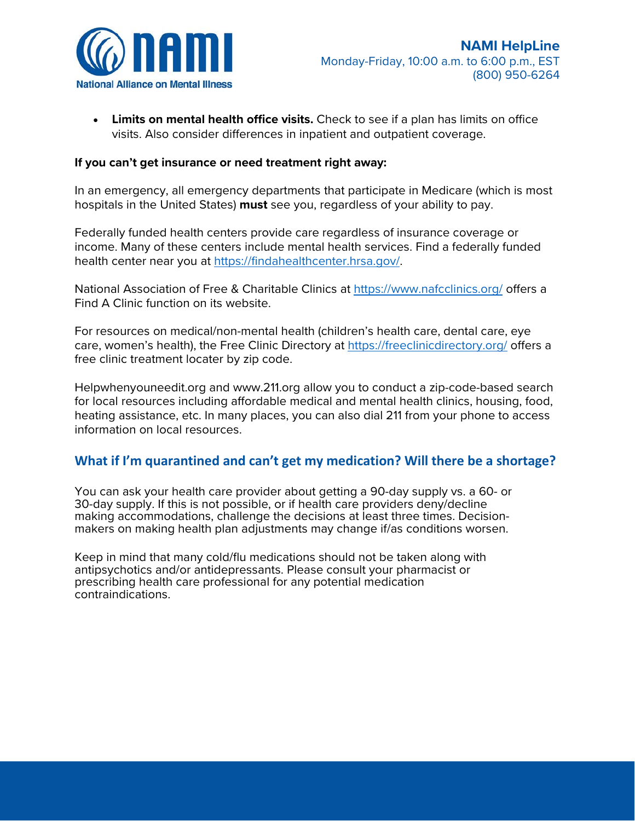

• **Limits on mental health office visits.** Check to see if a plan has limits on office visits. Also consider differences in inpatient and outpatient coverage.

#### **If you can't get insurance or need treatment right away:**

 In an emergency, all emergency departments that participate in Medicare (which is most hospitals in the United States) **must** see you, regardless of your ability to pay.

 income. Many of these centers include mental health services. Find a federally funded health center near you at [https://findahealthcenter.hrsa.gov/.](https://findahealthcenter.hrsa.gov/) Federally funded health centers provide care regardless of insurance coverage or

National Association of Free & Charitable Clinics at<https://www.nafcclinics.org/>offers a Find A Clinic function on its website.

For resources on medical/non-mental health (children's health care, dental care, eye care, women's health), the Free Clinic Directory at<https://freeclinicdirectory.org/>offers a free clinic treatment locater by zip code.

 heating assistance, etc. In many places, you can also dial 211 from your phone to access [Helpwhenyouneedit.org](https://Helpwhenyouneedit.org) and <www.211.org>allow you to conduct a zip-code-based search for local resources including affordable medical and mental health clinics, housing, food, information on local resources.

#### <span id="page-5-0"></span>**What if I'm quarantined and can't get my medication? Will there be a shortage?**

You can ask your health care provider about getting a 90-day supply vs. a 60- or 30-day supply. If this is not possible, or if health care providers deny/decline making accommodations, challenge the decisions at least three times. Decisionmakers on making health plan adjustments may change if/as conditions worsen.

Keep in mind that many cold/flu medications should not be taken along with antipsychotics and/or antidepressants. Please consult your pharmacist or prescribing health care professional for any potential medication contraindications.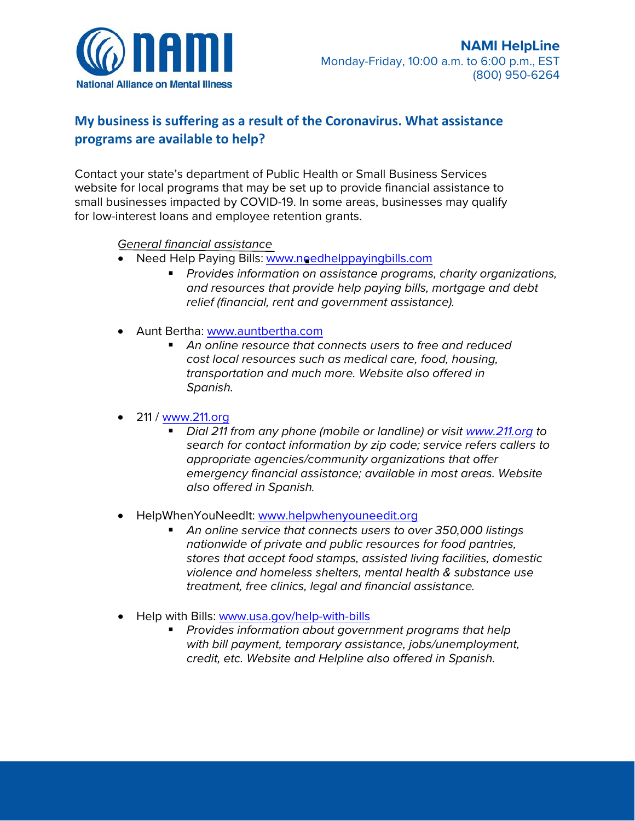

# <span id="page-6-0"></span>**My business is suffering as a result of the Coronavirus. What assistance programs are available to help?**

Contact your state's department of Public Health or Small Business Services website for local programs that may be set up to provide financial assistance to small businesses impacted by COVID-19. In some areas, businesses may qualify for low-interest loans and employee retention grants.

#### *General financial assistance*

- - Need Help Paying Bills: [www.needhelppayingbills.com](http://www.needhelppayingbills.com/) *Provides information on assistance programs, charity organizations, and resources that provide help paying bills, mortgage and debt relief (financial, rent and government assistance).*
- Aunt Bertha: [www.auntbertha.com](http://www.auntbertha.com/) 
	- *transportation and much more. Website also offered in An online resource that connects users to free and reduced cost local resources such as medical care, food, housing, Spanish.*

#### • 211 / [www.211.org](http://www.211.org/)

- *emergency financial assistance; available in most areas. Website*  ■ *Dial 211 from any phone (mobile or landline) or visit [www.211.org t](http://www.211.org/)o search for contact information by zip code; service refers callers to appropriate agencies/community organizations that offer also offered in Spanish.*
- HelpWhenYouNeedIt: [www.helpwhenyouneedit.org](http://www.helpwhenyouneedit.org/) 
	- *An online service that connects users to over 350,000 listings nationwide of private and public resources for food pantries, stores that accept food stamps, assisted living facilities, domestic violence and homeless shelters, mental health & substance use treatment, free clinics, legal and financial assistance.*
- Help with Bills: [www.usa.gov/help-with-bills](http://www.usa.gov/help-with-bills) 
	- *Provides information about government programs that help with bill payment, temporary assistance, jobs/unemployment, credit, etc. Website and Helpline also offered in Spanish.*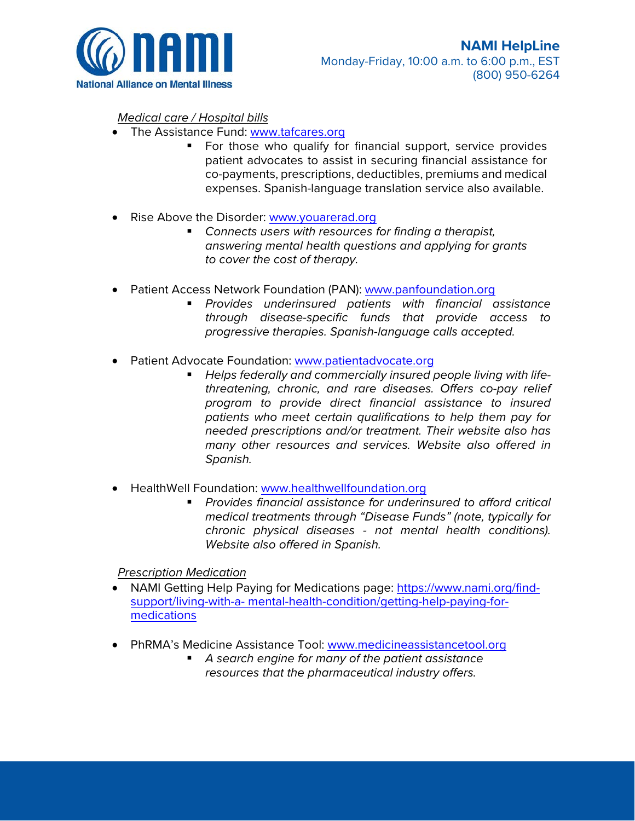

#### *Medical care / Hospital bills*

- The Assistance Fund: [www.tafcares.org](http://www.tafcares.org/) 
	- **For those who qualify for financial support, service provides** patient advocates to assist in securing financial assistance for co-payments, prescriptions, deductibles, premiums and medical expenses. Spanish-language translation service also available.
- Rise Above the Disorder: www.youarerad.org
	- *Connects users with resources for finding a therapist, answering mental health questions and applying for grants to cover the cost of therapy.*
- Patient Access Network Foundation (PAN): www.panfoundation.org
	- *Provides underinsured patients with financial assistance through disease-specific funds that provide access to progressive therapies. Spanish-language calls accepted.*
- Patient Advocate Foundation: [www.patientadvocate.org](http://www.patientadvocate.org/) 
	- *Helps federally and commercially insured people living with lifethreatening, chronic, and rare diseases. Offers co-pay relief program to provide direct financial assistance to insured patients who meet certain qualifications to help them pay for needed prescriptions and/or treatment. Their website also has many other resources and services. Website also offered in Spanish.*
- HealthWell Foundation: [www.healthwellfoundation.org](http://www.healthwellfoundation.org/) 
	- *Provides financial assistance for underinsured to afford critical medical treatments through "Disease Funds" (note, typically for chronic physical diseases - not mental health conditions). Website also offered in Spanish.*

*Prescription Medication* 

- [NAMI Getting Help Paying for Medications page: https://www.nami.org/find](https://www.nami.org/find-support/living-with-a-mental-health-condition/getting-help-paying-for-medications)[support/living-with-a- mental-health-condition/getting-help-paying-for](https://www.nami.org/find-support/living-with-a-mental-health-condition/getting-help-paying-for-medications)[medications](https://www.nami.org/find-support/living-with-a-mental-health-condition/getting-help-paying-for-medications)
- PhRMA's Medicine Assistance Tool: [www.medicineassistancetool.org](http://www.medicineassistancetool.org/) 
	- *A search engine for many of the patient assistance resources that the pharmaceutical industry offers.*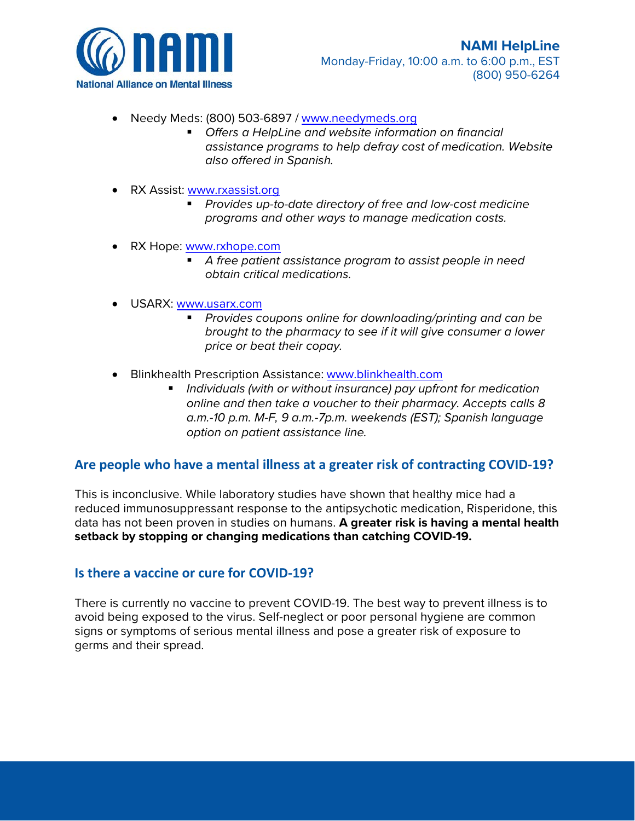

- Needy Meds: (800) 503-6897 [/ www.needymeds.org](http://www.needymeds.org/) 
	- *Offers a HelpLine and website information on financial assistance programs to help defray cost of medication. Website also offered in Spanish.*
- RX Assist: [www.rxassist.org](http://www.rxassist.org/) 
	- *Provides up-to-date directory of free and low-cost medicine programs and other ways to manage medication costs.*
- RX Hope: www.rxhope.com
	- *A free patient assistance program to assist people in need obtain critical medications.*
- USARX: [www.usarx.com](https://www.usarx.com/) 
	- *Provides coupons online for downloading/printing and can be brought to the pharmacy to see if it will give consumer a lower price or beat their copay.*
- Blinkhealth Prescription Assistance: www.blinkhealth.com
	- *Individuals (with or without insurance) pay upfront for medication online and then take a voucher to their pharmacy. Accepts calls 8 a.m.-10 p.m. M-F, 9 a.m.-7p.m. weekends (EST); Spanish language option on patient assistance line.*

### <span id="page-8-0"></span>**Are people who have a mental illness at a greater risk of contracting COVID-19?**

This is inconclusive. While laboratory studies have shown that healthy mice had a reduced immunosuppressant response to the antipsychotic medication, Risperidone, this data has not been proven in studies on humans. **A greater risk is having a mental health setback by stopping or changing medications than catching COVID-19.** 

#### <span id="page-8-1"></span>**Is there a vaccine or cure for COVID-19?**

There is currently no vaccine to prevent COVID-19. The best way to prevent illness is to avoid being exposed to the virus. Self-neglect or poor personal hygiene are common signs or symptoms of serious mental illness and pose a greater risk of exposure to germs and their spread.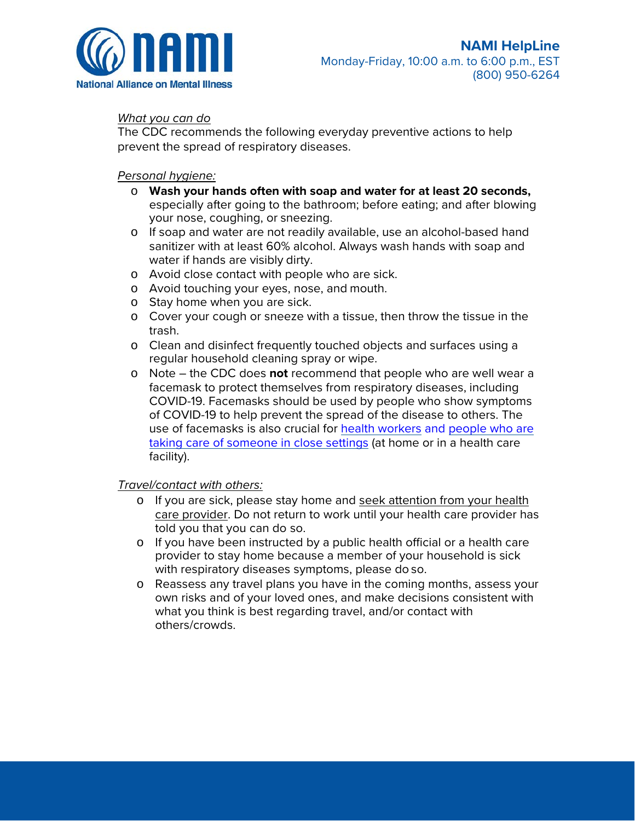

#### *What you can do*

The CDC recommends the following everyday preventive actions to help prevent the spread of respiratory diseases.

#### *Personal hygiene:*

- o **Wash your hands often with soap and water for at least 20 seconds,**  your nose, coughing, or sneezing. especially after going to the bathroom; before eating; and after blowing
- water if hands are visibly dirty. o If soap and water are not readily available, use an alcohol-based hand sanitizer with at least 60% alcohol. Always wash hands with soap and
- o Avoid close contact with people who are sick.
- o Avoid touching your eyes, nose, and mouth.
- o Stay home when you are sick.
- o Cover your cough or sneeze with a tissue, then throw the tissue in the trash.
- regular household cleaning spray or wipe. o Clean and disinfect frequently touched objects and surfaces using a
- use of facemasks is also crucial for [health workers a](https://www.cdc.gov/coronavirus/2019-nCoV/hcp/infection-control.html)nd people who are [taking care of someone in close settings \(](https://www.cdc.gov/coronavirus/2019-ncov/hcp/guidance-home-care.html)at home or in a health care o Note – the CDC does **not** recommend that people who are well wear a facemask to protect themselves from respiratory diseases, including COVID-19. Facemasks should be used by people who show symptoms of COVID-19 to help prevent the spread of the disease to others. The facility).

#### *Travel/contact with others:*

- told you that you can do so. o If you are sick, please stay home and seek attention from your health care provider. Do not return to work until your health care provider has
- o If you have been instructed by a public health official or a health care with respiratory diseases symptoms, please do so. provider to stay home because a member of your household is sick
- o Reassess any travel plans you have in the coming months, assess your own risks and of your loved ones, and make decisions consistent with what you think is best regarding travel, and/or contact with others/crowds.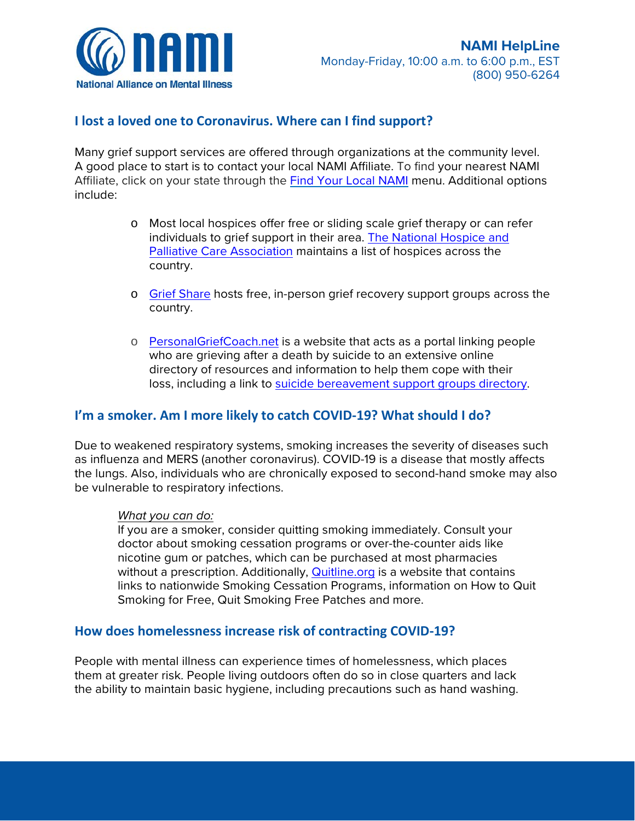

### <span id="page-10-0"></span>**I lost a loved one to Coronavirus. Where can I find support?**

Many grief support services are offered through organizations at the community level. A good place to start is to contact your local NAMI Affiliate. To find your nearest NAMI Affiliate, click on your state through the [Find Your Local N](https://www.nami.org/Find-Your-Local-NAMI)AMI menu. Additional options include:

- o Most local hospices offer free or sliding scale grief therapy or can refer individuals to grief support in their area. [The National Hospice and](https://www.nhpco.org/find-hospice)  [Palliative Care Association m](https://www.nhpco.org/find-hospice)aintains a list of hospices across the country.
- o [Grief Share h](https://www.griefshare.org/findagroup)osts free, in-person grief recovery support groups across the country.
- who are grieving after a death by suicide to an extensive online o [PersonalGriefCoach.net i](http://www.personalgriefcoach.net/)s a website that acts as a portal linking people directory of resources and information to help them cope with their loss, including a link t[o suicide bereavement support groups directory.](http://www.personalgriefcoach.net/support-groups.html)

# <span id="page-10-1"></span> **I'm a smoker. Am I more likely to catch COVID-19? What should I do?**

 as influenza and MERS (another coronavirus). COVID-19 is a disease that mostly affects Due to weakened respiratory systems, smoking increases the severity of diseases such the lungs. Also, individuals who are chronically exposed to second-hand smoke may also be vulnerable to respiratory infections.

#### *What you can do:*

 doctor about smoking cessation programs or over-the-counter aids like Smoking for Free, Quit Smoking Free Patches and more. If you are a smoker, consider quitting smoking immediately. Consult your nicotine gum or patches, which can be purchased at most pharmacies without a prescription. Additionally, [Quitline.org i](http://quitline.org/)s a website that contains links to nationwide Smoking Cessation Programs, information on How to Quit

### <span id="page-10-2"></span>**How does homelessness increase risk of contracting COVID-19?**

People with mental illness can experience times of homelessness, which places them at greater risk. People living outdoors often do so in close quarters and lack the ability to maintain basic hygiene, including precautions such as hand washing.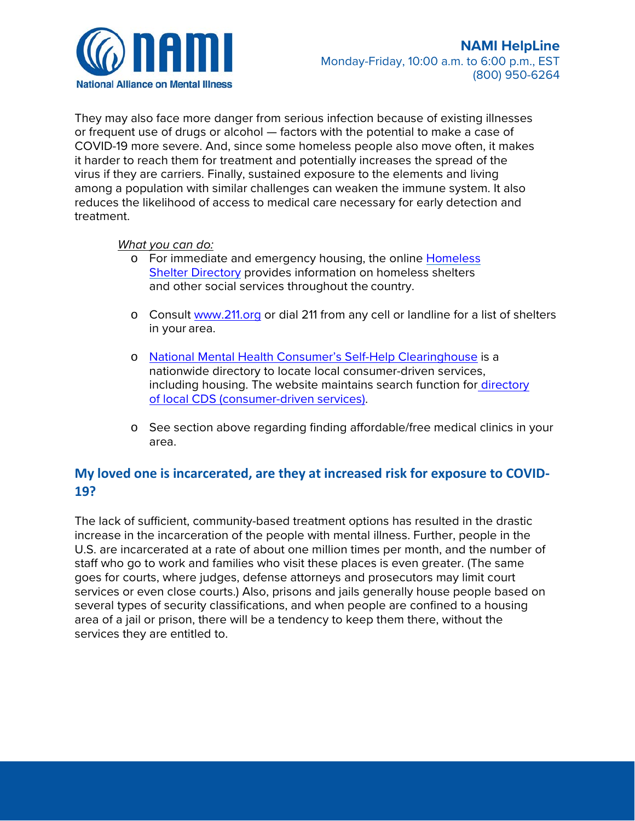

They may also face more danger from serious infection because of existing illnesses or frequent use of drugs or alcohol — factors with the potential to make a case of COVID-19 more severe. And, since some homeless people also move often, it makes it harder to reach them for treatment and potentially increases the spread of the virus if they are carriers. Finally, sustained exposure to the elements and living among a population with similar challenges can weaken the immune system. It also reduces the likelihood of access to medical care necessary for early detection and treatment.

*What you can do:* 

- and other social services throughout the country. o For immediate and emergency housing, the online Homeless [Shelter Directory p](http://www.homelessshelterdirectory.org/)rovides information on homeless shelters
- in your area. o Consult [www.211.org o](http://www.211.org/)r dial 211 from any cell or landline for a list of shelters
- o [National Mental Health Consumer's Self-Help Clearinghouse i](http://www.mhselfhelp.org/)s a nationwide directory to locate local consumer-driven services, including housing. The website maintains search function fo[r directory](http://www.cdsdirectory.org/)  [of local CDS \(consumer-driven services\).](http://www.cdsdirectory.org/)
- o See section above regarding finding affordable/free medical clinics in your area.

# <span id="page-11-0"></span>**My loved one is incarcerated, are they at increased risk for exposure to COVID-19?**

The lack of sufficient, community-based treatment options has resulted in the drastic increase in the incarceration of the people with mental illness. Further, people in the U.S. are incarcerated at a rate of about one million times per month, and the number of staff who go to work and families who visit these places is even greater. (The same goes for courts, where judges, defense attorneys and prosecutors may limit court services or even close courts.) Also, prisons and jails generally house people based on several types of security classifications, and when people are confined to a housing area of a jail or prison, there will be a tendency to keep them there, without the services they are entitled to.